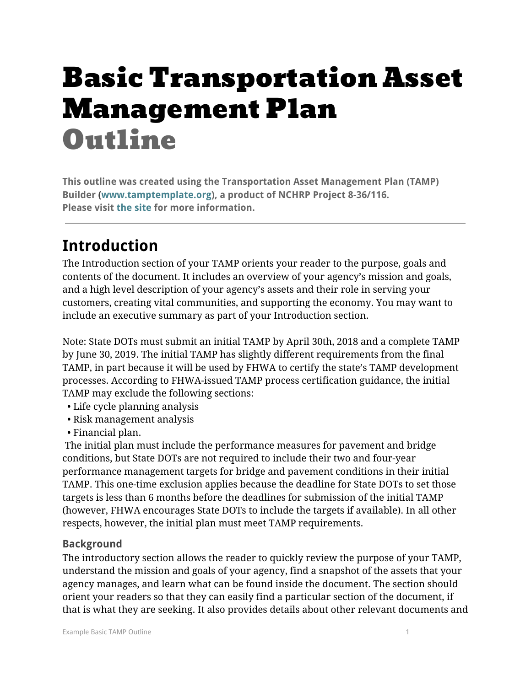# Basic Transportation Asset Management Plan Outline

**This outline was created using the Transportation Asset Management Plan (TAMP) Builder ([www.tamptemplate.org](http://www.tamptemplate.org/)), a product of NCHRP Project 8-36/116. Please visit the [site](http://www.tamptemplate.org/) for more information.**

# **Introduction**

The Introduction section of your TAMP orients your reader to the purpose, goals and contents of the document. It includes an overview of your agency's mission and goals, and a high level description of your agency's assets and their role in serving your customers, creating vital communities, and supporting the economy. You may want to include an executive summary as part of your Introduction section.

Note: State DOTs must submit an initial TAMP by April 30th, 2018 and a complete TAMP by June 30, 2019. The initial TAMP has slightly different requirements from the final TAMP, in part because it will be used by FHWA to certify the state's TAMP development processes. According to FHWA-issued TAMP process certification guidance, the initial TAMP may exclude the following sections:

- Life cycle planning analysis
- Risk management analysis
- Financial plan.

The initial plan must include the performance measures for pavement and bridge conditions, but State DOTs are not required to include their two and four-year performance management targets for bridge and pavement conditions in their initial TAMP. This one-time exclusion applies because the deadline for State DOTs to set those targets is less than 6 months before the deadlines for submission of the initial TAMP (however, FHWA encourages State DOTs to include the targets if available). In all other respects, however, the initial plan must meet TAMP requirements.

#### **Background**

The introductory section allows the reader to quickly review the purpose of your TAMP, understand the mission and goals of your agency, find a snapshot of the assets that your agency manages, and learn what can be found inside the document. The section should orient your readers so that they can easily find a particular section of the document, if that is what they are seeking. It also provides details about other relevant documents and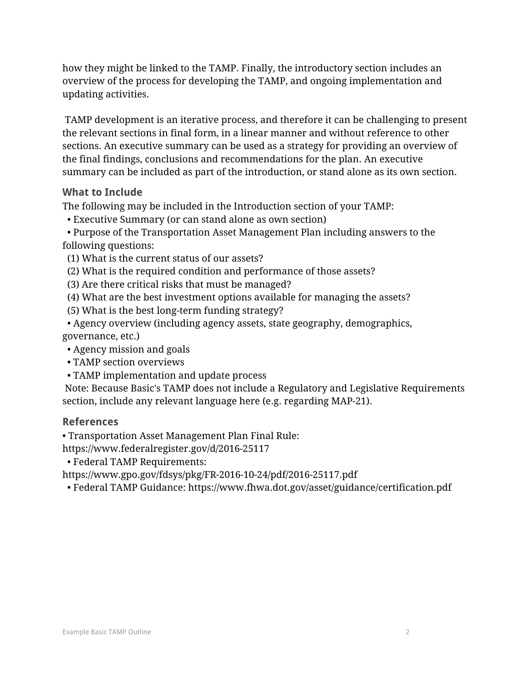how they might be linked to the TAMP. Finally, the introductory section includes an overview of the process for developing the TAMP, and ongoing implementation and updating activities.

TAMP development is an iterative process, and therefore it can be challenging to present the relevant sections in final form, in a linear manner and without reference to other sections. An executive summary can be used as a strategy for providing an overview of the final findings, conclusions and recommendations for the plan. An executive summary can be included as part of the introduction, or stand alone as its own section.

#### **What to Include**

The following may be included in the Introduction section of your TAMP:

• Executive Summary (or can stand alone as own section)

• Purpose of the Transportation Asset Management Plan including answers to the following questions:

(1) What is the current status of our assets?

(2) What is the required condition and performance of those assets?

(3) Are there critical risks that must be managed?

(4) What are the best investment options available for managing the assets?

(5) What is the best long-term funding strategy?

- Agency overview (including agency assets, state geography, demographics, governance, etc.)
- Agency mission and goals
- TAMP section overviews
- TAMP implementation and update process

Note: Because Basic's TAMP does not include a Regulatory and Legislative Requirements section, include any relevant language here (e.g. regarding MAP-21).

#### **References**

• Transportation Asset Management Plan Final Rule:

https://www.federalregister.gov/d/2016-25117

• Federal TAMP Requirements:

https://www.gpo.gov/fdsys/pkg/FR-2016-10-24/pdf/2016-25117.pdf

• Federal TAMP Guidance: https://www.fhwa.dot.gov/asset/guidance/certification.pdf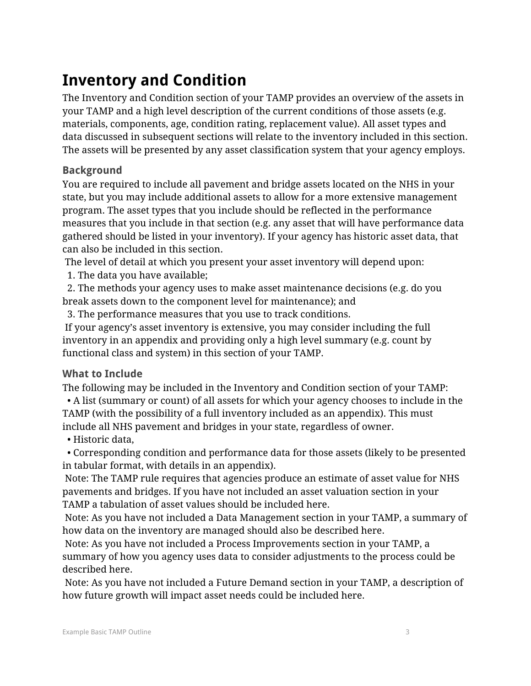# **Inventory and Condition**

The Inventory and Condition section of your TAMP provides an overview of the assets in your TAMP and a high level description of the current conditions of those assets (e.g. materials, components, age, condition rating, replacement value). All asset types and data discussed in subsequent sections will relate to the inventory included in this section. The assets will be presented by any asset classification system that your agency employs.

#### **Background**

You are required to include all pavement and bridge assets located on the NHS in your state, but you may include additional assets to allow for a more extensive management program. The asset types that you include should be reflected in the performance measures that you include in that section (e.g. any asset that will have performance data gathered should be listed in your inventory). If your agency has historic asset data, that can also be included in this section.

The level of detail at which you present your asset inventory will depend upon:

1. The data you have available;

2. The methods your agency uses to make asset maintenance decisions (e.g. do you break assets down to the component level for maintenance); and

3. The performance measures that you use to track conditions.

If your agency's asset inventory is extensive, you may consider including the full inventory in an appendix and providing only a high level summary (e.g. count by functional class and system) in this section of your TAMP.

#### **What to Include**

The following may be included in the Inventory and Condition section of your TAMP:

• A list (summary or count) of all assets for which your agency chooses to include in the TAMP (with the possibility of a full inventory included as an appendix). This must include all NHS pavement and bridges in your state, regardless of owner.

#### • Historic data,

• Corresponding condition and performance data for those assets (likely to be presented in tabular format, with details in an appendix).

Note: The TAMP rule requires that agencies produce an estimate of asset value for NHS pavements and bridges. If you have not included an asset valuation section in your TAMP a tabulation of asset values should be included here.

Note: As you have not included a Data Management section in your TAMP, a summary of how data on the inventory are managed should also be described here.

Note: As you have not included a Process Improvements section in your TAMP, a summary of how you agency uses data to consider adjustments to the process could be described here.

Note: As you have not included a Future Demand section in your TAMP, a description of how future growth will impact asset needs could be included here.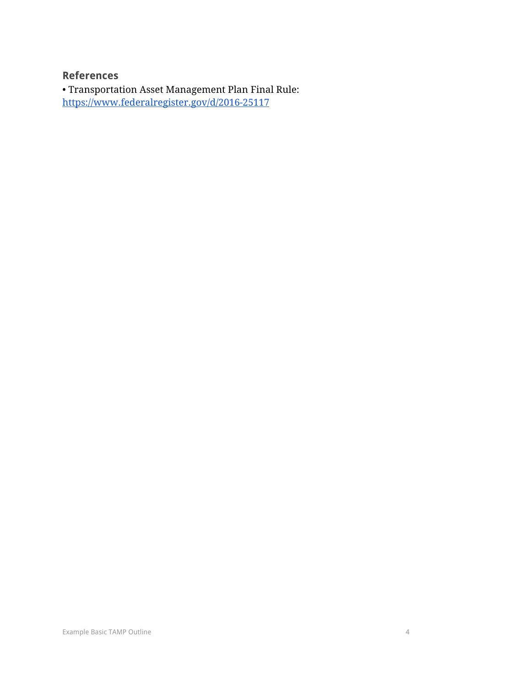#### **References**

• Transportation Asset Management Plan Final Rule: <https://www.federalregister.gov/d/2016-25117>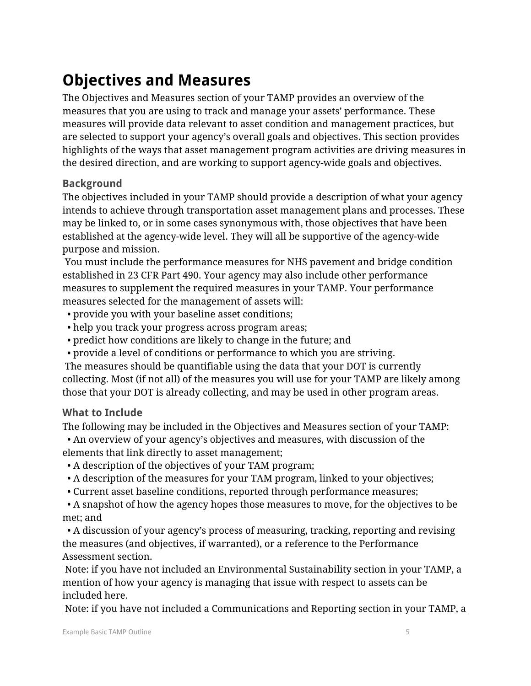# **Objectives and Measures**

The Objectives and Measures section of your TAMP provides an overview of the measures that you are using to track and manage your assets' performance. These measures will provide data relevant to asset condition and management practices, but are selected to support your agency's overall goals and objectives. This section provides highlights of the ways that asset management program activities are driving measures in the desired direction, and are working to support agency-wide goals and objectives.

#### **Background**

The objectives included in your TAMP should provide a description of what your agency intends to achieve through transportation asset management plans and processes. These may be linked to, or in some cases synonymous with, those objectives that have been established at the agency-wide level. They will all be supportive of the agency-wide purpose and mission.

You must include the performance measures for NHS pavement and bridge condition established in 23 CFR Part 490. Your agency may also include other performance measures to supplement the required measures in your TAMP. Your performance measures selected for the management of assets will:

- provide you with your baseline asset conditions;
- help you track your progress across program areas;
- predict how conditions are likely to change in the future; and
- provide a level of conditions or performance to which you are striving.

The measures should be quantifiable using the data that your DOT is currently collecting. Most (if not all) of the measures you will use for your TAMP are likely among those that your DOT is already collecting, and may be used in other program areas.

#### **What to Include**

The following may be included in the Objectives and Measures section of your TAMP:

• An overview of your agency's objectives and measures, with discussion of the elements that link directly to asset management;

- A description of the objectives of your TAM program;
- A description of the measures for your TAM program, linked to your objectives;
- Current asset baseline conditions, reported through performance measures;

• A snapshot of how the agency hopes those measures to move, for the objectives to be met; and

• A discussion of your agency's process of measuring, tracking, reporting and revising the measures (and objectives, if warranted), or a reference to the Performance Assessment section.

Note: if you have not included an Environmental Sustainability section in your TAMP, a mention of how your agency is managing that issue with respect to assets can be included here.

Note: if you have not included a Communications and Reporting section in your TAMP, a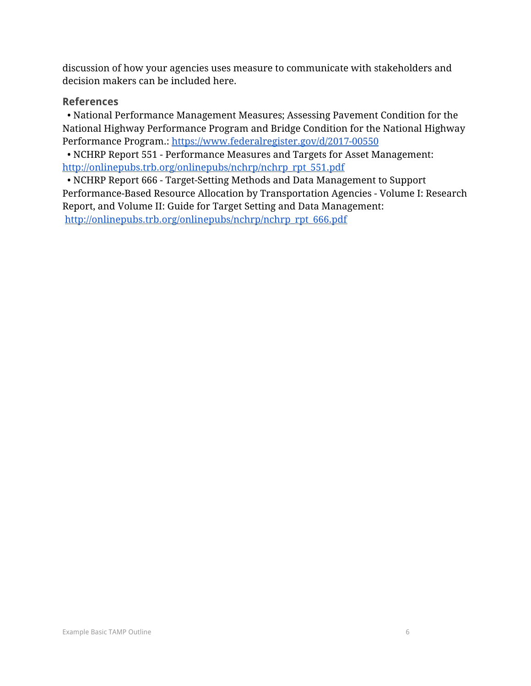discussion of how your agencies uses measure to communicate with stakeholders and decision makers can be included here.

#### **References**

• National Performance Management Measures; Assessing Pavement Condition for the National Highway Performance Program and Bridge Condition for the National Highway Performance Program.: <https://www.federalregister.gov/d/2017-00550>

• NCHRP Report 551 - Performance Measures and Targets for Asset Management: [http://onlinepubs.trb.org/onlinepubs/nchrp/nchrp\\_rpt\\_551.pdf](http://onlinepubs.trb.org/onlinepubs/nchrp/nchrp_rpt_551.pdf)

• NCHRP Report 666 - Target-Setting Methods and Data Management to Support Performance-Based Resource Allocation by Transportation Agencies - Volume I: Research Report, and Volume II: Guide for Target Setting and Data Management: [http://onlinepubs.trb.org/onlinepubs/nchrp/nchrp\\_rpt\\_666.pdf](http://onlinepubs.trb.org/onlinepubs/nchrp/nchrp_rpt_666.pdf)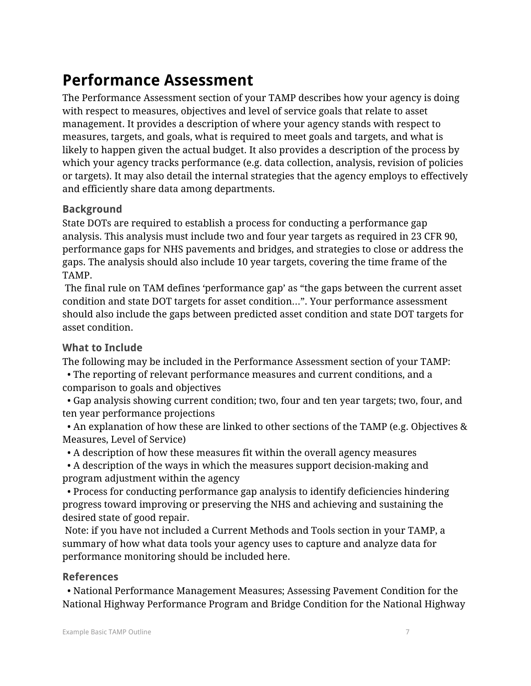### **Performance Assessment**

The Performance Assessment section of your TAMP describes how your agency is doing with respect to measures, objectives and level of service goals that relate to asset management. It provides a description of where your agency stands with respect to measures, targets, and goals, what is required to meet goals and targets, and what is likely to happen given the actual budget. It also provides a description of the process by which your agency tracks performance (e.g. data collection, analysis, revision of policies or targets). It may also detail the internal strategies that the agency employs to effectively and efficiently share data among departments.

#### **Background**

State DOTs are required to establish a process for conducting a performance gap analysis. This analysis must include two and four year targets as required in 23 CFR 90, performance gaps for NHS pavements and bridges, and strategies to close or address the gaps. The analysis should also include 10 year targets, covering the time frame of the TAMP.

The final rule on TAM defines 'performance gap' as "the gaps between the current asset condition and state DOT targets for asset condition…". Your performance assessment should also include the gaps between predicted asset condition and state DOT targets for asset condition.

#### **What to Include**

The following may be included in the Performance Assessment section of your TAMP:

• The reporting of relevant performance measures and current conditions, and a comparison to goals and objectives

• Gap analysis showing current condition; two, four and ten year targets; two, four, and ten year performance projections

• An explanation of how these are linked to other sections of the TAMP (e.g. Objectives & Measures, Level of Service)

• A description of how these measures fit within the overall agency measures

• A description of the ways in which the measures support decision-making and program adjustment within the agency

• Process for conducting performance gap analysis to identify deficiencies hindering progress toward improving or preserving the NHS and achieving and sustaining the desired state of good repair.

Note: if you have not included a Current Methods and Tools section in your TAMP, a summary of how what data tools your agency uses to capture and analyze data for performance monitoring should be included here.

#### **References**

• National Performance Management Measures; Assessing Pavement Condition for the National Highway Performance Program and Bridge Condition for the National Highway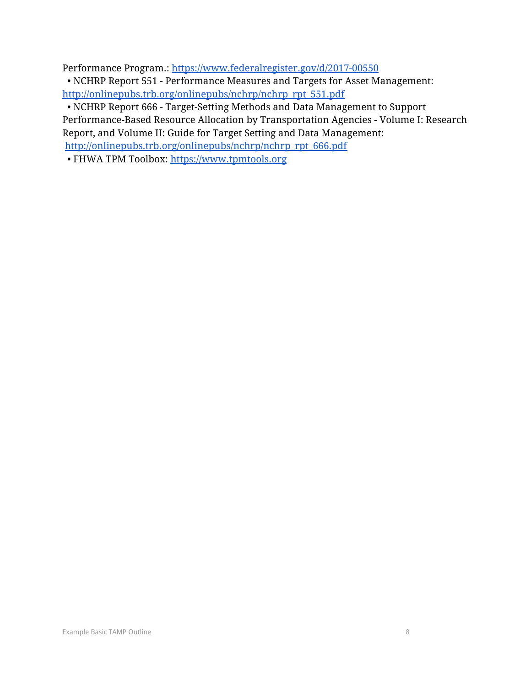Performance Program.: <https://www.federalregister.gov/d/2017-00550>

• NCHRP Report 551 - Performance Measures and Targets for Asset Management: [http://onlinepubs.trb.org/onlinepubs/nchrp/nchrp\\_rpt\\_551.pdf](http://onlinepubs.trb.org/onlinepubs/nchrp/nchrp_rpt_551.pdf)

• NCHRP Report 666 - Target-Setting Methods and Data Management to Support Performance-Based Resource Allocation by Transportation Agencies - Volume I: Research Report, and Volume II: Guide for Target Setting and Data Management: [http://onlinepubs.trb.org/onlinepubs/nchrp/nchrp\\_rpt\\_666.pdf](http://onlinepubs.trb.org/onlinepubs/nchrp/nchrp_rpt_666.pdf)

• FHWA TPM Toolbox: [https://www.tpmtools.org](https://www.tpmtools.org/)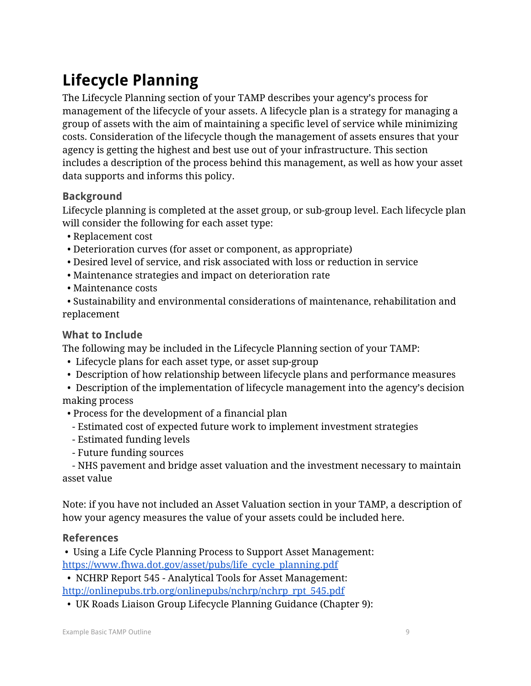# **Lifecycle Planning**

The Lifecycle Planning section of your TAMP describes your agency's process for management of the lifecycle of your assets. A lifecycle plan is a strategy for managing a group of assets with the aim of maintaining a specific level of service while minimizing costs. Consideration of the lifecycle though the management of assets ensures that your agency is getting the highest and best use out of your infrastructure. This section includes a description of the process behind this management, as well as how your asset data supports and informs this policy.

#### **Background**

Lifecycle planning is completed at the asset group, or sub-group level. Each lifecycle plan will consider the following for each asset type:

- Replacement cost
- Deterioration curves (for asset or component, as appropriate)
- Desired level of service, and risk associated with loss or reduction in service
- Maintenance strategies and impact on deterioration rate
- Maintenance costs

• Sustainability and environmental considerations of maintenance, rehabilitation and replacement

#### **What to Include**

The following may be included in the Lifecycle Planning section of your TAMP:

- Lifecycle plans for each asset type, or asset sup-group
- Description of how relationship between lifecycle plans and performance measures

• Description of the implementation of lifecycle management into the agency's decision making process

- Process for the development of a financial plan
- Estimated cost of expected future work to implement investment strategies
- Estimated funding levels
- Future funding sources

- NHS pavement and bridge asset valuation and the investment necessary to maintain asset value

Note: if you have not included an Asset Valuation section in your TAMP, a description of how your agency measures the value of your assets could be included here.

#### **References**

• Using a Life Cycle Planning Process to Support Asset Management: [https://www.fhwa.dot.gov/asset/pubs/life\\_cycle\\_planning.pdf](https://www.fhwa.dot.gov/asset/pubs/life_cycle_planning.pdf)

• NCHRP Report 545 - Analytical Tools for Asset Management:

[http://onlinepubs.trb.org/onlinepubs/nchrp/nchrp\\_rpt\\_545.pdf](http://onlinepubs.trb.org/onlinepubs/nchrp/nchrp_rpt_545.pdf)

• UK Roads Liaison Group Lifecycle Planning Guidance (Chapter 9):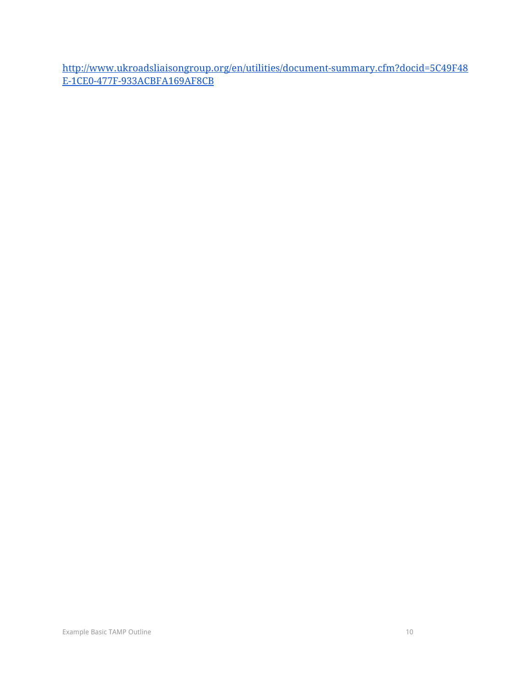[http://www.ukroadsliaisongroup.org/en/utilities/document-summary.cfm?docid=5C49F48](http://www.ukroadsliaisongroup.org/en/utilities/document-summary.cfm?docid=5C49F48E-1CE0-477F-933ACBFA169AF8CB) [E-1CE0-477F-933ACBFA169AF8CB](http://www.ukroadsliaisongroup.org/en/utilities/document-summary.cfm?docid=5C49F48E-1CE0-477F-933ACBFA169AF8CB)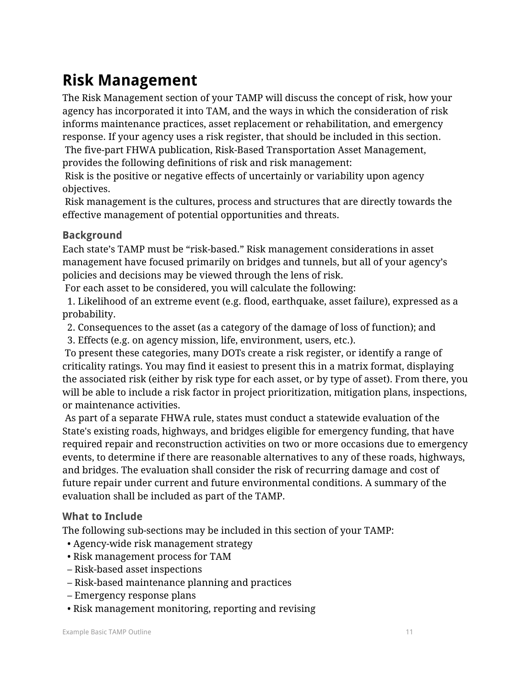# **Risk Management**

The Risk Management section of your TAMP will discuss the concept of risk, how your agency has incorporated it into TAM, and the ways in which the consideration of risk informs maintenance practices, asset replacement or rehabilitation, and emergency response. If your agency uses a risk register, that should be included in this section.

The five-part FHWA publication, Risk-Based Transportation Asset Management, provides the following definitions of risk and risk management:

Risk is the positive or negative effects of uncertainly or variability upon agency objectives.

Risk management is the cultures, process and structures that are directly towards the effective management of potential opportunities and threats.

#### **Background**

Each state's TAMP must be "risk-based." Risk management considerations in asset management have focused primarily on bridges and tunnels, but all of your agency's policies and decisions may be viewed through the lens of risk.

For each asset to be considered, you will calculate the following:

1. Likelihood of an extreme event (e.g. flood, earthquake, asset failure), expressed as a probability.

2. Consequences to the asset (as a category of the damage of loss of function); and

3. Effects (e.g. on agency mission, life, environment, users, etc.).

To present these categories, many DOTs create a risk register, or identify a range of criticality ratings. You may find it easiest to present this in a matrix format, displaying the associated risk (either by risk type for each asset, or by type of asset). From there, you will be able to include a risk factor in project prioritization, mitigation plans, inspections, or maintenance activities.

As part of a separate FHWA rule, states must conduct a statewide evaluation of the State's existing roads, highways, and bridges eligible for emergency funding, that have required repair and reconstruction activities on two or more occasions due to emergency events, to determine if there are reasonable alternatives to any of these roads, highways, and bridges. The evaluation shall consider the risk of recurring damage and cost of future repair under current and future environmental conditions. A summary of the evaluation shall be included as part of the TAMP.

#### **What to Include**

The following sub-sections may be included in this section of your TAMP:

- Agency-wide risk management strategy
- Risk management process for TAM
- Risk-based asset inspections
- Risk-based maintenance planning and practices
- Emergency response plans
- Risk management monitoring, reporting and revising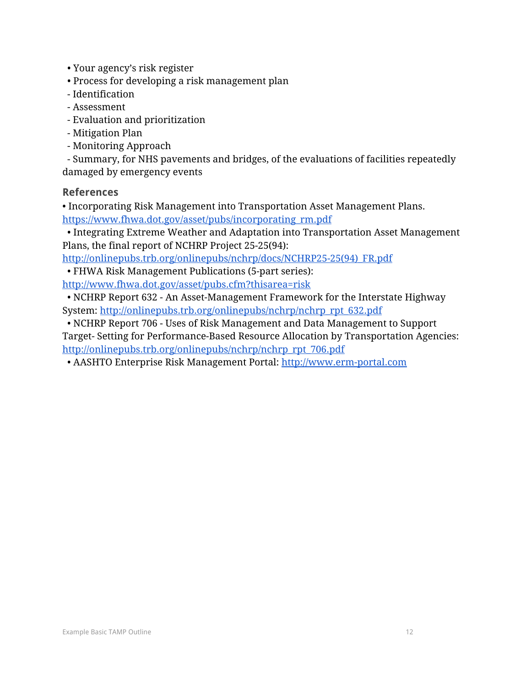- Your agency's risk register
- Process for developing a risk management plan
- Identification
- Assessment
- Evaluation and prioritization
- Mitigation Plan
- Monitoring Approach

- Summary, for NHS pavements and bridges, of the evaluations of facilities repeatedly damaged by emergency events

#### **References**

• Incorporating Risk Management into Transportation Asset Management Plans. [https://www.fhwa.dot.gov/asset/pubs/incorporating\\_rm.pdf](https://www.fhwa.dot.gov/asset/pubs/incorporating_rm.pdf)

• Integrating Extreme Weather and Adaptation into Transportation Asset Management Plans, the final report of NCHRP Project 25-25(94):

[http://onlinepubs.trb.org/onlinepubs/nchrp/docs/NCHRP25-25\(94\)\\_FR.pdf](http://onlinepubs.trb.org/onlinepubs/nchrp/docs/NCHRP25-25(94)_FR.pdf)

- FHWA Risk Management Publications (5-part series):
- <http://www.fhwa.dot.gov/asset/pubs.cfm?thisarea=risk>

• NCHRP Report 632 - An Asset-Management Framework for the Interstate Highway System: [http://onlinepubs.trb.org/onlinepubs/nchrp/nchrp\\_rpt\\_632.pdf](http://onlinepubs.trb.org/onlinepubs/nchrp/nchrp_rpt_632.pdf)

• NCHRP Report 706 - Uses of Risk Management and Data Management to Support Target- Setting for Performance-Based Resource Allocation by Transportation Agencies: [http://onlinepubs.trb.org/onlinepubs/nchrp/nchrp\\_rpt\\_706.pdf](http://onlinepubs.trb.org/onlinepubs/nchrp/nchrp_rpt_706.pdf)

• AASHTO Enterprise Risk Management Portal: [http://www.erm-portal.com](http://www.erm-portal.com/)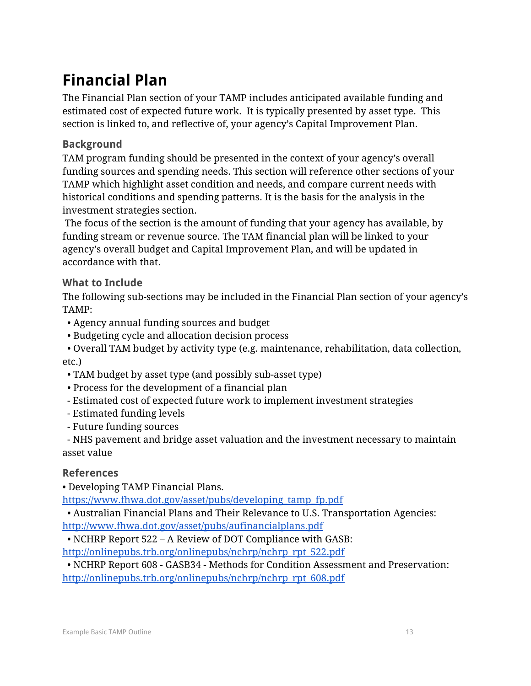# **Financial Plan**

The Financial Plan section of your TAMP includes anticipated available funding and estimated cost of expected future work. It is typically presented by asset type. This section is linked to, and reflective of, your agency's Capital Improvement Plan.

#### **Background**

TAM program funding should be presented in the context of your agency's overall funding sources and spending needs. This section will reference other sections of your TAMP which highlight asset condition and needs, and compare current needs with historical conditions and spending patterns. It is the basis for the analysis in the investment strategies section.

The focus of the section is the amount of funding that your agency has available, by funding stream or revenue source. The TAM financial plan will be linked to your agency's overall budget and Capital Improvement Plan, and will be updated in accordance with that.

#### **What to Include**

The following sub-sections may be included in the Financial Plan section of your agency's TAMP:

- Agency annual funding sources and budget
- Budgeting cycle and allocation decision process
- Overall TAM budget by activity type (e.g. maintenance, rehabilitation, data collection, etc.)
- TAM budget by asset type (and possibly sub-asset type)
- Process for the development of a financial plan
- Estimated cost of expected future work to implement investment strategies
- Estimated funding levels
- Future funding sources

- NHS pavement and bridge asset valuation and the investment necessary to maintain asset value

#### **References**

• Developing TAMP Financial Plans.

[https://www.fhwa.dot.gov/asset/pubs/developing\\_tamp\\_fp.pdf](https://www.fhwa.dot.gov/asset/pubs/developing_tamp_fp.pdf)

• Australian Financial Plans and Their Relevance to U.S. Transportation Agencies: <http://www.fhwa.dot.gov/asset/pubs/aufinancialplans.pdf>

• NCHRP Report 522 – A Review of DOT Compliance with GASB:

[http://onlinepubs.trb.org/onlinepubs/nchrp/nchrp\\_rpt\\_522.pdf](http://onlinepubs.trb.org/onlinepubs/nchrp/nchrp_rpt_522.pdf)

• NCHRP Report 608 - GASB34 - Methods for Condition Assessment and Preservation: [http://onlinepubs.trb.org/onlinepubs/nchrp/nchrp\\_rpt\\_608.pdf](http://onlinepubs.trb.org/onlinepubs/nchrp/nchrp_rpt_608.pdf)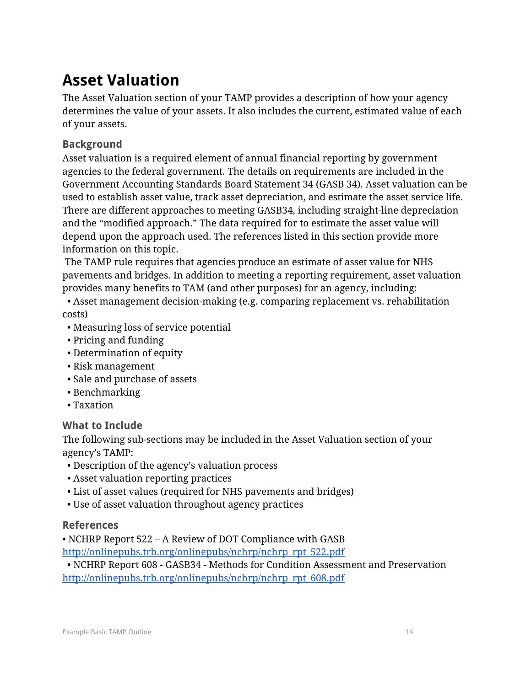### **Asset Valuation**

The Asset Valuation section of your TAMP provides a description of how your agency determines the value of your assets. It also includes the current, estimated value of each of your assets.

#### **Background**

Asset valuation is a required element of annual financial reporting by government agencies to the federal government. The details on requirements are included in the Government Accounting Standards Board Statement 34 (GASB 34). Asset valuation can be used to establish asset value, track asset depreciation, and estimate the asset service life. There are different approaches to meeting GASB34, including straight-line depreciation and the "modified approach." The data required for to estimate the asset value will depend upon the approach used. The references listed in this section provide more information on this topic.

The TAMP rule requires that agencies produce an estimate of asset value for NHS pavements and bridges. In addition to meeting a reporting requirement, asset valuation provides many benefits to TAM (and other purposes) for an agency, including:

• Asset management decision-making (e.g. comparing replacement vs. rehabilitation costs)

- Measuring loss of service potential
- Pricing and funding
- Determination of equity
- Risk management
- Sale and purchase of assets
- Benchmarking
- Taxation

#### **What to Include**

The following sub-sections may be included in the Asset Valuation section of your agency's TAMP:

- Description of the agency's valuation process
- Asset valuation reporting practices
- List of asset values (required for NHS pavements and bridges)
- Use of asset valuation throughout agency practices

#### **References**

• NCHRP Report 522 – A Review of DOT Compliance with GASB [http://onlinepubs.trb.org/onlinepubs/nchrp/nchrp\\_rpt\\_522.pdf](http://onlinepubs.trb.org/onlinepubs/nchrp/nchrp_rpt_522.pdf)

• NCHRP Report 608 - GASB34 - Methods for Condition Assessment and Preservation [http://onlinepubs.trb.org/onlinepubs/nchrp/nchrp\\_rpt\\_608.pdf](http://onlinepubs.trb.org/onlinepubs/nchrp/nchrp_rpt_608.pdf)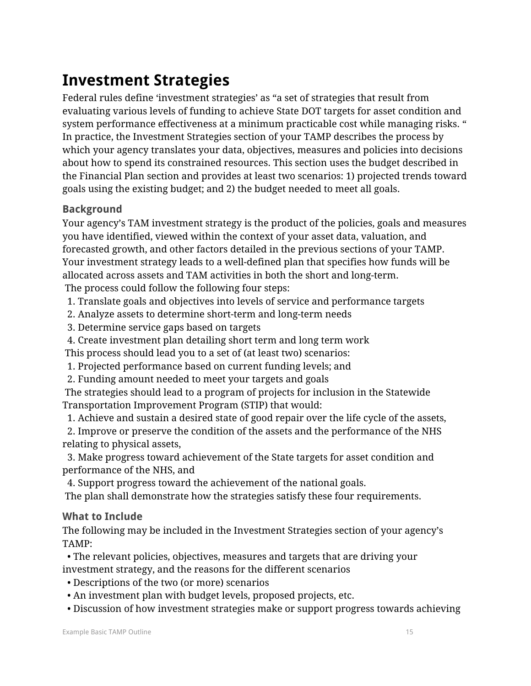### **Investment Strategies**

Federal rules define 'investment strategies' as "a set of strategies that result from evaluating various levels of funding to achieve State DOT targets for asset condition and system performance effectiveness at a minimum practicable cost while managing risks. " In practice, the Investment Strategies section of your TAMP describes the process by which your agency translates your data, objectives, measures and policies into decisions about how to spend its constrained resources. This section uses the budget described in the Financial Plan section and provides at least two scenarios: 1) projected trends toward goals using the existing budget; and 2) the budget needed to meet all goals.

#### **Background**

Your agency's TAM investment strategy is the product of the policies, goals and measures you have identified, viewed within the context of your asset data, valuation, and forecasted growth, and other factors detailed in the previous sections of your TAMP. Your investment strategy leads to a well-defined plan that specifies how funds will be allocated across assets and TAM activities in both the short and long-term. The process could follow the following four steps:

1. Translate goals and objectives into levels of service and performance targets

- 2. Analyze assets to determine short-term and long-term needs
- 3. Determine service gaps based on targets
- 4. Create investment plan detailing short term and long term work

This process should lead you to a set of (at least two) scenarios:

- 1. Projected performance based on current funding levels; and
- 2. Funding amount needed to meet your targets and goals

The strategies should lead to a program of projects for inclusion in the Statewide Transportation Improvement Program (STIP) that would:

1. Achieve and sustain a desired state of good repair over the life cycle of the assets,

2. Improve or preserve the condition of the assets and the performance of the NHS relating to physical assets,

3. Make progress toward achievement of the State targets for asset condition and performance of the NHS, and

4. Support progress toward the achievement of the national goals.

The plan shall demonstrate how the strategies satisfy these four requirements.

#### **What to Include**

The following may be included in the Investment Strategies section of your agency's TAMP:

• The relevant policies, objectives, measures and targets that are driving your investment strategy, and the reasons for the different scenarios

- Descriptions of the two (or more) scenarios
- An investment plan with budget levels, proposed projects, etc.
- Discussion of how investment strategies make or support progress towards achieving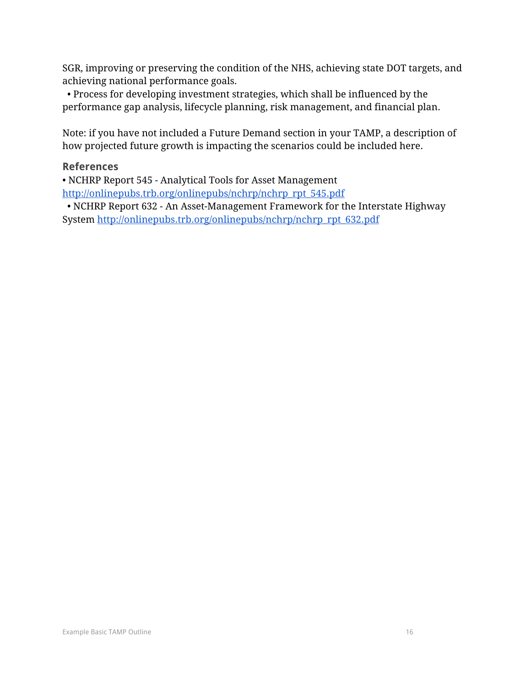SGR, improving or preserving the condition of the NHS, achieving state DOT targets, and achieving national performance goals.

• Process for developing investment strategies, which shall be influenced by the performance gap analysis, lifecycle planning, risk management, and financial plan.

Note: if you have not included a Future Demand section in your TAMP, a description of how projected future growth is impacting the scenarios could be included here.

#### **References**

• NCHRP Report 545 - Analytical Tools for Asset Management [http://onlinepubs.trb.org/onlinepubs/nchrp/nchrp\\_rpt\\_545.pdf](http://onlinepubs.trb.org/onlinepubs/nchrp/nchrp_rpt_545.pdf)

• NCHRP Report 632 - An Asset-Management Framework for the Interstate Highway System [http://onlinepubs.trb.org/onlinepubs/nchrp/nchrp\\_rpt\\_632.pdf](http://onlinepubs.trb.org/onlinepubs/nchrp/nchrp_rpt_632.pdf)